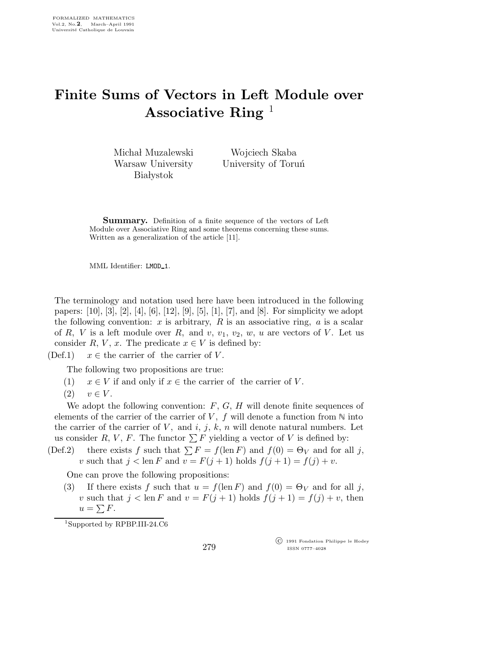## Finite Sums of Vectors in Left Module over Associative Ring  $<sup>1</sup>$ </sup>

Michał Muzalewski Warsaw University **Białystok** 

Wojciech Skaba University of Toruń

Summary. Definition of a finite sequence of the vectors of Left Module over Associative Ring and some theorems concerning these sums. Written as a generalization of the article [11].

MML Identifier: LMOD\_1.

The terminology and notation used here have been introduced in the following papers: [10], [3], [2], [4], [6], [12], [9], [5], [1], [7], and [8]. For simplicity we adopt the following convention:  $x$  is arbitrary,  $R$  is an associative ring,  $a$  is a scalar of R, V is a left module over R, and v,  $v_1, v_2, w, u$  are vectors of V. Let us consider R, V, x. The predicate  $x \in V$  is defined by:

(Def.1)  $x \in$  the carrier of the carrier of V.

The following two propositions are true:

- (1)  $x \in V$  if and only if  $x \in$  the carrier of the carrier of V.
- $(2)$   $v \in V$ .

We adopt the following convention:  $F, G, H$  will denote finite sequences of elements of the carrier of the carrier of V,  $f$  will denote a function from  $\mathbb N$  into the carrier of the carrier of V, and i, j, k, n will denote natural numbers. Let us consider R, V, F. The functor  $\sum F$  yielding a vector of V is defined by:

(Def.2) there exists f such that  $\sum F = f(\text{len } F)$  and  $f(0) = \Theta_V$  and for all j, v such that  $j < \text{len } F$  and  $v = F(j + 1)$  holds  $f(j + 1) = f(j) + v$ .

One can prove the following propositions:

(3) If there exists f such that  $u = f(\text{len } F)$  and  $f(0) = \Theta_V$  and for all j, v such that  $j < \text{len } F$  and  $v = F(j + 1)$  holds  $f(j + 1) = f(j) + v$ , then  $u = \sum F$ .

<sup>1</sup>Supported by RPBP.III-24.C6

 c 1991 Fondation Philippe le Hodey ISSN 0777–4028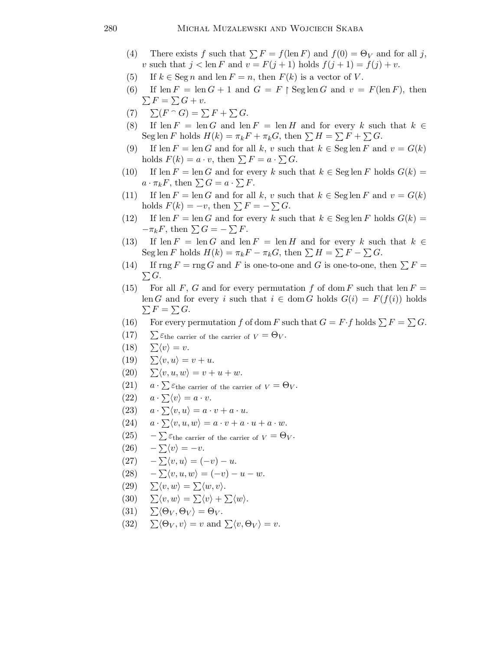- (4) There exists f such that  $\sum F = f(\text{len } F)$  and  $f(0) = \Theta_V$  and for all j, v such that  $j < \text{len } F$  and  $v = F(j + 1)$  holds  $f(j + 1) = f(j) + v$ .
- (5) If  $k \in \text{Seg } n$  and len  $F = n$ , then  $F(k)$  is a vector of V.
- (6) If  $\text{len } F = \text{len } G + 1$  and  $G = F \upharpoonright \text{Seglen } G$  and  $v = F(\text{len } F)$ , then  $\sum F = \sum G + v.$
- (7)  $\sum (F \cap G) = \sum F + \sum G$ .
- (8) If len  $F = \text{len } G$  and len  $F = \text{len } H$  and for every k such that  $k \in$ Seg len F holds  $H(k) = \pi_k F + \pi_k G$ , then  $\sum H = \sum F + \sum G$ .
- (9) If len  $F = \text{len } G$  and for all k, v such that  $k \in \text{Seglen } F$  and  $v = G(k)$ holds  $F(k) = a \cdot v$ , then  $\sum F = a \cdot \sum G$ .
- (10) If len  $F = \text{len } G$  and for every k such that  $k \in \text{Seg} \operatorname{len } F$  holds  $G(k) =$  $a \cdot \pi_k F$ , then  $\sum G = a \cdot \sum F$ .
- (11) If len  $F = \text{len } G$  and for all k, v such that  $k \in \text{Seglen } F$  and  $v = G(k)$ holds  $F(k) = -v$ , then  $\sum F = -\sum G$ .
- (12) If len  $F = \text{len } G$  and for every k such that  $k \in \text{Seg} \text{ len } F$  holds  $G(k) =$  $-\pi_k F$ , then  $\sum G = -\sum F$ .
- (13) If len  $F = \text{len } G$  and len  $F = \text{len } H$  and for every k such that  $k \in$ Seg len F holds  $H(k) = \pi_k F - \pi_k G$ , then  $\sum H = \sum F - \sum G$ .
- (14) If  $\text{rng } F = \text{rng } G$  and F is one-to-one and G is one-to-one, then  $\sum F =$  $\sum G$ .
- (15) For all F, G and for every permutation f of dom F such that len  $F =$ len G and for every i such that  $i \in \text{dom } G$  holds  $G(i) = F(f(i))$  holds  $\sum F = \sum G$ .
- (16) For every permutation f of dom F such that  $G = F \cdot f$  holds  $\sum F = \sum G$ .
- $(17)$   $\sum \varepsilon_{\text{the carrier of the carrier of } V} = \Theta_V$ .
- $(18) \quad \sum \langle v \rangle = v.$
- $(19) \quad \Sigma \langle v, u \rangle = v + u.$
- (20)  $\sum \langle v, u, w \rangle = v + u + w.$
- $(21)$  $a \cdot \sum \varepsilon_{\text{the carrier of the carrier of } V} = \Theta_V.$
- $(22)$  $a \cdot \sum \langle v \rangle = a \cdot v.$
- $(23)$  $a \cdot \sum \langle v, u \rangle = a \cdot v + a \cdot u.$
- $(24)$  $a \cdot \sum \langle v, u, w \rangle = a \cdot v + a \cdot u + a \cdot w.$
- $(25)$  $-\sum \varepsilon_{\text{the carrier of the carrier of } V} = \Theta_V.$
- $(26)$  $-\sum \langle v \rangle = -v.$
- $(27)$  $-\sum \langle v, u \rangle = (-v) - u.$
- $(28)$  $-\sum \langle v, u, w \rangle = (-v) - u - w.$
- $(29) \quad \sum \langle v, w \rangle = \sum \langle w, v \rangle.$
- (30)  $\sum \langle v, w \rangle = \sum \langle v \rangle + \sum \langle w \rangle$ .
- (31)  $\sum \langle \Theta_V, \Theta_V \rangle = \Theta_V$ .
- (32)  $\sum \langle \Theta_V, v \rangle = v$  and  $\sum \langle v, \Theta_V \rangle = v$ .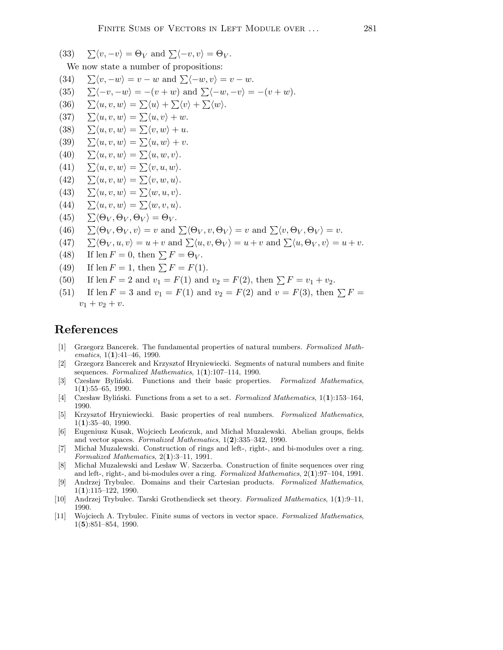- (33)  $\sum \langle v, -v \rangle = \Theta_V$  and  $\sum \langle -v, v \rangle = \Theta_V$ . We now state a number of propositions: (34)  $\sum \langle v, -w \rangle = v - w$  and  $\sum \langle -w, v \rangle = v - w$ . (35)  $\sum \langle -v, -w \rangle = -(v + w)$  and  $\sum \langle -w, -v \rangle = -(v + w)$ . (36)  $\sum \langle u, v, w \rangle = \sum \langle u \rangle + \sum \langle v \rangle + \sum \langle w \rangle.$ (37)  $\sum \langle u, v, w \rangle = \sum \langle u, v \rangle + w.$ (38)  $\sum \langle u, v, w \rangle = \sum \langle v, w \rangle + u.$ (39)  $\sum \langle u, v, w \rangle = \sum \langle u, w \rangle + v.$ (40)  $\sum \langle u, v, w \rangle = \sum \langle u, w, v \rangle$ . (41)  $\sum \langle u, v, w \rangle = \sum \langle v, u, w \rangle$ . (42)  $\sum \langle u, v, w \rangle = \sum \langle v, w, u \rangle$ . (43)  $\sum \langle u, v, w \rangle = \sum \langle w, u, v \rangle$ . (44)  $\sum \langle u, v, w \rangle = \sum \langle w, v, u \rangle$ . (45)  $\sum \langle \Theta_V, \Theta_V, \Theta_V \rangle = \Theta_V$ . (46)  $\sum \langle \Theta_V, \Theta_V, v \rangle = v$  and  $\sum \langle \Theta_V, v, \Theta_V \rangle = v$  and  $\sum \langle v, \Theta_V, \Theta_V \rangle = v$ . (47)  $\sum \langle \Theta_V, u, v \rangle = u + v$  and  $\sum \langle u, v, \Theta_V \rangle = u + v$  and  $\sum \langle u, \Theta_V, v \rangle = u + v$ . (48) If len  $F = 0$ , then  $\sum F = \Theta_V$ . (49) If len  $F = 1$ , then  $\sum F = F(1)$ .
- (50) If len  $F = 2$  and  $v_1 = F(1)$  and  $v_2 = F(2)$ , then  $\sum F = v_1 + v_2$ .
- (51) If len  $F = 3$  and  $v_1 = F(1)$  and  $v_2 = F(2)$  and  $v = F(3)$ , then  $\sum F =$  $v_1 + v_2 + v.$

## References

- [1] Grzegorz Bancerek. The fundamental properties of natural numbers. Formalized Mathematics,  $1(1):41-46$ , 1990.
- [2] Grzegorz Bancerek and Krzysztof Hryniewiecki. Segments of natural numbers and finite sequences. Formalized Mathematics,  $1(1):107-114$ , 1990.
- [3] Czesław Byliński. Functions and their basic properties. Formalized Mathematics,  $1(1):55-65, 1990.$
- [4] Czesław Byliński. Functions from a set to a set. Formalized Mathematics,  $1(1):153-164$ , 1990.
- [5] Krzysztof Hryniewiecki. Basic properties of real numbers. Formalized Mathematics,  $1(1):35-40, 1990.$
- [6] Eugeniusz Kusak, Wojciech Leończuk, and Michał Muzalewski. Abelian groups, fields and vector spaces. Formalized Mathematics, 1(2):335–342, 1990.
- [7] Michał Muzalewski. Construction of rings and left-, right-, and bi-modules over a ring. Formalized Mathematics, 2(1):3–11, 1991.
- [8] Michał Muzalewski and Lesław W. Szczerba. Construction of finite sequences over ring and left-, right-, and bi-modules over a ring. Formalized Mathematics, 2(1):97–104, 1991.
- [9] Andrzej Trybulec. Domains and their Cartesian products. Formalized Mathematics, 1(1):115–122, 1990.
- [10] Andrzej Trybulec. Tarski Grothendieck set theory. Formalized Mathematics, 1(1):9–11, 1990.
- [11] Wojciech A. Trybulec. Finite sums of vectors in vector space. Formalized Mathematics, 1(5):851–854, 1990.